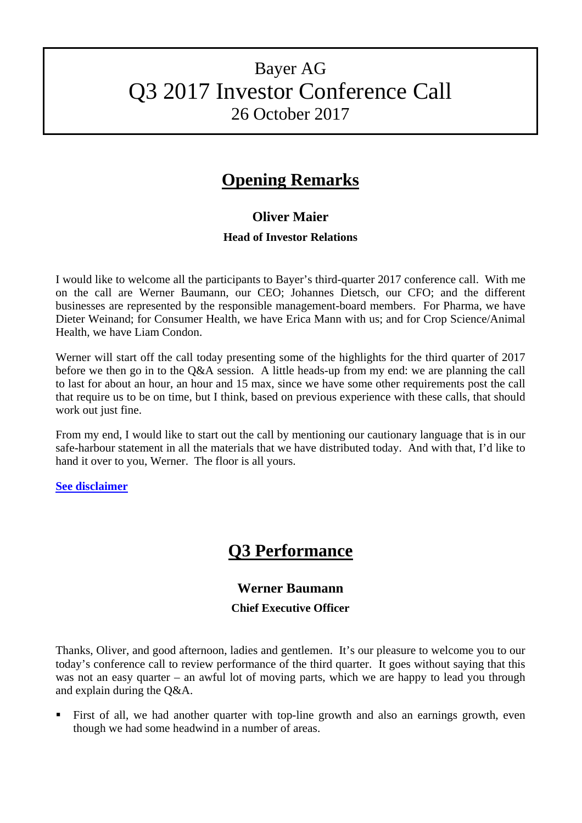# Bayer AG Q3 2017 Investor Conference Call 26 October 2017

## **Opening Remarks**

## **Oliver Maier**

## **Head of Investor Relations**

I would like to welcome all the participants to Bayer's third-quarter 2017 conference call. With me on the call are Werner Baumann, our CEO; Johannes Dietsch, our CFO; and the different businesses are represented by the responsible management-board members. For Pharma, we have Dieter Weinand; for Consumer Health, we have Erica Mann with us; and for Crop Science/Animal Health, we have Liam Condon.

Werner will start off the call today presenting some of the highlights for the third quarter of 2017 before we then go in to the Q&A session. A little heads-up from my end: we are planning the call to last for about an hour, an hour and 15 max, since we have some other requirements post the call that require us to be on time, but I think, based on previous experience with these calls, that should work out just fine.

From my end, I would like to start out the call by mentioning our cautionary language that is in our safe-harbour statement in all the materials that we have distributed today. And with that, I'd like to hand it over to you, Werner. The floor is all yours.

## **[See disclaimer](#page-19-0)**

## **Q3 Performance**

## **Werner Baumann**

## **Chief Executive Officer**

Thanks, Oliver, and good afternoon, ladies and gentlemen. It's our pleasure to welcome you to our today's conference call to review performance of the third quarter. It goes without saying that this was not an easy quarter – an awful lot of moving parts, which we are happy to lead you through and explain during the Q&A.

 First of all, we had another quarter with top-line growth and also an earnings growth, even though we had some headwind in a number of areas.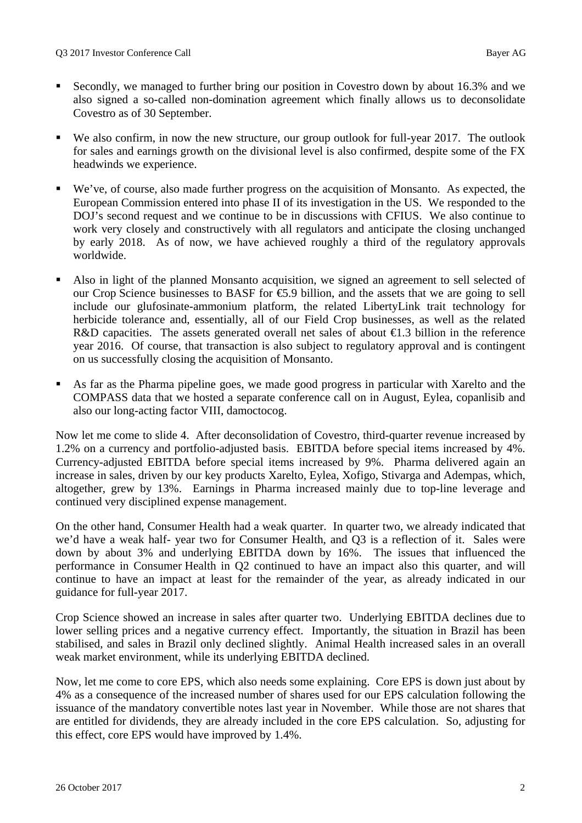- Secondly, we managed to further bring our position in Covestro down by about 16.3% and we also signed a so-called non-domination agreement which finally allows us to deconsolidate Covestro as of 30 September.
- We also confirm, in now the new structure, our group outlook for full-year 2017. The outlook for sales and earnings growth on the divisional level is also confirmed, despite some of the FX headwinds we experience.
- We've, of course, also made further progress on the acquisition of Monsanto. As expected, the European Commission entered into phase II of its investigation in the US. We responded to the DOJ's second request and we continue to be in discussions with CFIUS. We also continue to work very closely and constructively with all regulators and anticipate the closing unchanged by early 2018. As of now, we have achieved roughly a third of the regulatory approvals worldwide.
- Also in light of the planned Monsanto acquisition, we signed an agreement to sell selected of our Crop Science businesses to BASF for €5.9 billion, and the assets that we are going to sell include our glufosinate-ammonium platform, the related LibertyLink trait technology for herbicide tolerance and, essentially, all of our Field Crop businesses, as well as the related R&D capacities. The assets generated overall net sales of about  $\bigoplus$ .3 billion in the reference year 2016. Of course, that transaction is also subject to regulatory approval and is contingent on us successfully closing the acquisition of Monsanto.
- As far as the Pharma pipeline goes, we made good progress in particular with Xarelto and the COMPASS data that we hosted a separate conference call on in August, Eylea, copanlisib and also our long-acting factor VIII, damoctocog.

Now let me come to slide 4. After deconsolidation of Covestro, third-quarter revenue increased by 1.2% on a currency and portfolio-adjusted basis. EBITDA before special items increased by 4%. Currency-adjusted EBITDA before special items increased by 9%. Pharma delivered again an increase in sales, driven by our key products Xarelto, Eylea, Xofigo, Stivarga and Adempas, which, altogether, grew by 13%. Earnings in Pharma increased mainly due to top-line leverage and continued very disciplined expense management.

On the other hand, Consumer Health had a weak quarter. In quarter two, we already indicated that we'd have a weak half- year two for Consumer Health, and Q3 is a reflection of it. Sales were down by about 3% and underlying EBITDA down by 16%. The issues that influenced the performance in Consumer Health in Q2 continued to have an impact also this quarter, and will continue to have an impact at least for the remainder of the year, as already indicated in our guidance for full-year 2017.

Crop Science showed an increase in sales after quarter two. Underlying EBITDA declines due to lower selling prices and a negative currency effect. Importantly, the situation in Brazil has been stabilised, and sales in Brazil only declined slightly. Animal Health increased sales in an overall weak market environment, while its underlying EBITDA declined.

Now, let me come to core EPS, which also needs some explaining. Core EPS is down just about by 4% as a consequence of the increased number of shares used for our EPS calculation following the issuance of the mandatory convertible notes last year in November. While those are not shares that are entitled for dividends, they are already included in the core EPS calculation. So, adjusting for this effect, core EPS would have improved by 1.4%.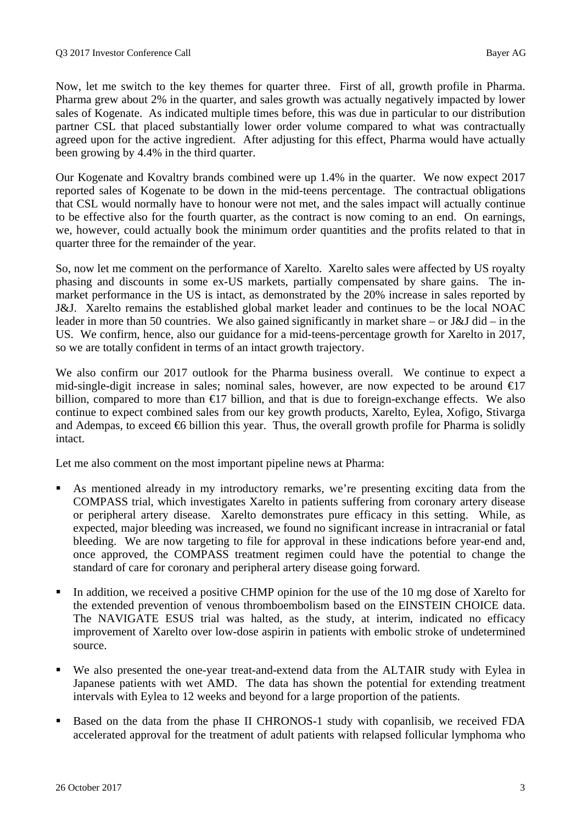Now, let me switch to the key themes for quarter three. First of all, growth profile in Pharma. Pharma grew about 2% in the quarter, and sales growth was actually negatively impacted by lower sales of Kogenate. As indicated multiple times before, this was due in particular to our distribution partner CSL that placed substantially lower order volume compared to what was contractually agreed upon for the active ingredient. After adjusting for this effect, Pharma would have actually been growing by 4.4% in the third quarter.

Our Kogenate and Kovaltry brands combined were up 1.4% in the quarter. We now expect 2017 reported sales of Kogenate to be down in the mid-teens percentage. The contractual obligations that CSL would normally have to honour were not met, and the sales impact will actually continue to be effective also for the fourth quarter, as the contract is now coming to an end. On earnings, we, however, could actually book the minimum order quantities and the profits related to that in quarter three for the remainder of the year.

So, now let me comment on the performance of Xarelto. Xarelto sales were affected by US royalty phasing and discounts in some ex-US markets, partially compensated by share gains. The inmarket performance in the US is intact, as demonstrated by the 20% increase in sales reported by J&J. Xarelto remains the established global market leader and continues to be the local NOAC leader in more than 50 countries. We also gained significantly in market share – or J&J did – in the US. We confirm, hence, also our guidance for a mid-teens-percentage growth for Xarelto in 2017, so we are totally confident in terms of an intact growth trajectory.

We also confirm our 2017 outlook for the Pharma business overall. We continue to expect a mid-single-digit increase in sales; nominal sales, however, are now expected to be around  $\epsilon$ 17 billion, compared to more than  $\epsilon$ 17 billion, and that is due to foreign-exchange effects. We also continue to expect combined sales from our key growth products, Xarelto, Eylea, Xofigo, Stivarga and Adempas, to exceed  $\epsilon$ 6 billion this year. Thus, the overall growth profile for Pharma is solidly intact.

Let me also comment on the most important pipeline news at Pharma:

- As mentioned already in my introductory remarks, we're presenting exciting data from the COMPASS trial, which investigates Xarelto in patients suffering from coronary artery disease or peripheral artery disease. Xarelto demonstrates pure efficacy in this setting. While, as expected, major bleeding was increased, we found no significant increase in intracranial or fatal bleeding. We are now targeting to file for approval in these indications before year-end and, once approved, the COMPASS treatment regimen could have the potential to change the standard of care for coronary and peripheral artery disease going forward.
- In addition, we received a positive CHMP opinion for the use of the 10 mg dose of Xarelto for the extended prevention of venous thromboembolism based on the EINSTEIN CHOICE data. The NAVIGATE ESUS trial was halted, as the study, at interim, indicated no efficacy improvement of Xarelto over low-dose aspirin in patients with embolic stroke of undetermined source.
- We also presented the one-year treat-and-extend data from the ALTAIR study with Eylea in Japanese patients with wet AMD. The data has shown the potential for extending treatment intervals with Eylea to 12 weeks and beyond for a large proportion of the patients.
- Based on the data from the phase II CHRONOS-1 study with copanlisib, we received FDA accelerated approval for the treatment of adult patients with relapsed follicular lymphoma who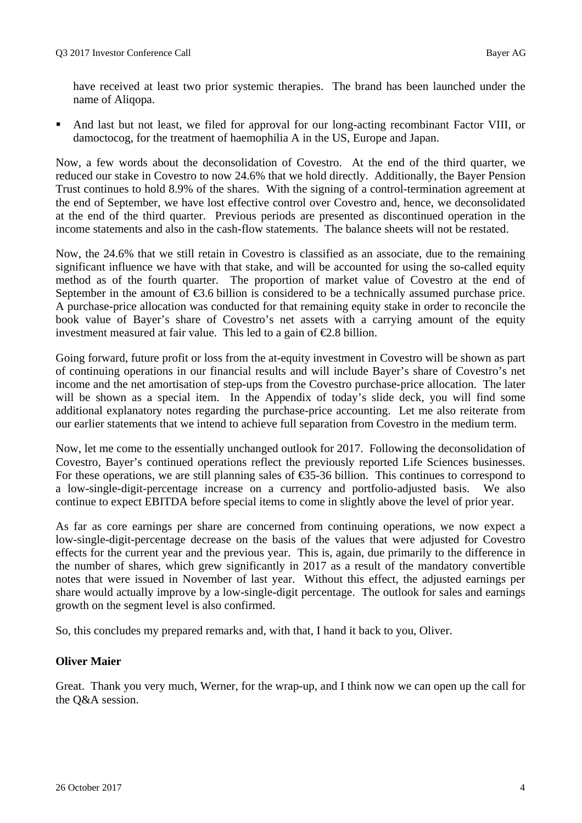have received at least two prior systemic therapies. The brand has been launched under the name of Aliqopa.

 And last but not least, we filed for approval for our long-acting recombinant Factor VIII, or damoctocog, for the treatment of haemophilia A in the US, Europe and Japan.

Now, a few words about the deconsolidation of Covestro. At the end of the third quarter, we reduced our stake in Covestro to now 24.6% that we hold directly. Additionally, the Bayer Pension Trust continues to hold 8.9% of the shares. With the signing of a control-termination agreement at the end of September, we have lost effective control over Covestro and, hence, we deconsolidated at the end of the third quarter. Previous periods are presented as discontinued operation in the income statements and also in the cash-flow statements. The balance sheets will not be restated.

Now, the 24.6% that we still retain in Covestro is classified as an associate, due to the remaining significant influence we have with that stake, and will be accounted for using the so-called equity method as of the fourth quarter. The proportion of market value of Covestro at the end of September in the amount of  $\epsilon$ 3.6 billion is considered to be a technically assumed purchase price. A purchase-price allocation was conducted for that remaining equity stake in order to reconcile the book value of Bayer's share of Covestro's net assets with a carrying amount of the equity investment measured at fair value. This led to a gain of  $\epsilon$ 2.8 billion.

Going forward, future profit or loss from the at-equity investment in Covestro will be shown as part of continuing operations in our financial results and will include Bayer's share of Covestro's net income and the net amortisation of step-ups from the Covestro purchase-price allocation. The later will be shown as a special item. In the Appendix of today's slide deck, you will find some additional explanatory notes regarding the purchase-price accounting. Let me also reiterate from our earlier statements that we intend to achieve full separation from Covestro in the medium term.

Now, let me come to the essentially unchanged outlook for 2017. Following the deconsolidation of Covestro, Bayer's continued operations reflect the previously reported Life Sciences businesses. For these operations, we are still planning sales of €35-36 billion. This continues to correspond to a low-single-digit-percentage increase on a currency and portfolio-adjusted basis. We also continue to expect EBITDA before special items to come in slightly above the level of prior year.

As far as core earnings per share are concerned from continuing operations, we now expect a low-single-digit-percentage decrease on the basis of the values that were adjusted for Covestro effects for the current year and the previous year. This is, again, due primarily to the difference in the number of shares, which grew significantly in 2017 as a result of the mandatory convertible notes that were issued in November of last year. Without this effect, the adjusted earnings per share would actually improve by a low-single-digit percentage. The outlook for sales and earnings growth on the segment level is also confirmed.

So, this concludes my prepared remarks and, with that, I hand it back to you, Oliver.

## **Oliver Maier**

Great. Thank you very much, Werner, for the wrap-up, and I think now we can open up the call for the Q&A session.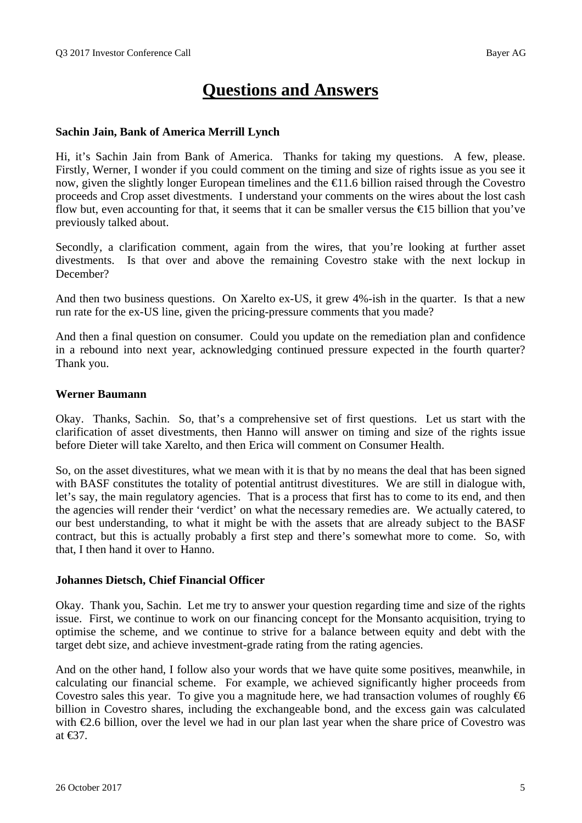## **Questions and Answers**

#### **Sachin Jain, Bank of America Merrill Lynch**

Hi, it's Sachin Jain from Bank of America. Thanks for taking my questions. A few, please. Firstly, Werner, I wonder if you could comment on the timing and size of rights issue as you see it now, given the slightly longer European timelines and the €11.6 billion raised through the Covestro proceeds and Crop asset divestments. I understand your comments on the wires about the lost cash flow but, even accounting for that, it seems that it can be smaller versus the  $\epsilon$ 15 billion that you've previously talked about.

Secondly, a clarification comment, again from the wires, that you're looking at further asset divestments. Is that over and above the remaining Covestro stake with the next lockup in December?

And then two business questions. On Xarelto ex-US, it grew 4%-ish in the quarter. Is that a new run rate for the ex-US line, given the pricing-pressure comments that you made?

And then a final question on consumer. Could you update on the remediation plan and confidence in a rebound into next year, acknowledging continued pressure expected in the fourth quarter? Thank you.

#### **Werner Baumann**

Okay. Thanks, Sachin. So, that's a comprehensive set of first questions. Let us start with the clarification of asset divestments, then Hanno will answer on timing and size of the rights issue before Dieter will take Xarelto, and then Erica will comment on Consumer Health.

So, on the asset divestitures, what we mean with it is that by no means the deal that has been signed with BASF constitutes the totality of potential antitrust divestitures. We are still in dialogue with, let's say, the main regulatory agencies. That is a process that first has to come to its end, and then the agencies will render their 'verdict' on what the necessary remedies are. We actually catered, to our best understanding, to what it might be with the assets that are already subject to the BASF contract, but this is actually probably a first step and there's somewhat more to come. So, with that, I then hand it over to Hanno.

#### **Johannes Dietsch, Chief Financial Officer**

Okay. Thank you, Sachin. Let me try to answer your question regarding time and size of the rights issue. First, we continue to work on our financing concept for the Monsanto acquisition, trying to optimise the scheme, and we continue to strive for a balance between equity and debt with the target debt size, and achieve investment-grade rating from the rating agencies.

And on the other hand, I follow also your words that we have quite some positives, meanwhile, in calculating our financial scheme. For example, we achieved significantly higher proceeds from Covestro sales this year. To give you a magnitude here, we had transaction volumes of roughly  $\epsilon_0$ billion in Covestro shares, including the exchangeable bond, and the excess gain was calculated with €2.6 billion, over the level we had in our plan last year when the share price of Covestro was at €37.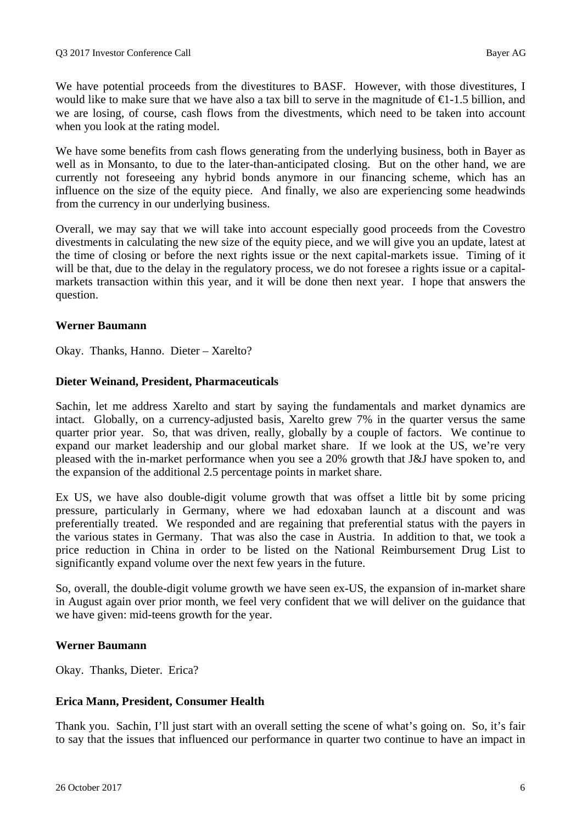We have potential proceeds from the divestitures to BASF. However, with those divestitures, I would like to make sure that we have also a tax bill to serve in the magnitude of  $\epsilon$ 1.5 billion, and we are losing, of course, cash flows from the divestments, which need to be taken into account when you look at the rating model.

We have some benefits from cash flows generating from the underlying business, both in Bayer as well as in Monsanto, to due to the later-than-anticipated closing. But on the other hand, we are currently not foreseeing any hybrid bonds anymore in our financing scheme, which has an influence on the size of the equity piece. And finally, we also are experiencing some headwinds from the currency in our underlying business.

Overall, we may say that we will take into account especially good proceeds from the Covestro divestments in calculating the new size of the equity piece, and we will give you an update, latest at the time of closing or before the next rights issue or the next capital-markets issue. Timing of it will be that, due to the delay in the regulatory process, we do not foresee a rights issue or a capitalmarkets transaction within this year, and it will be done then next year. I hope that answers the question.

## **Werner Baumann**

Okay. Thanks, Hanno. Dieter – Xarelto?

#### **Dieter Weinand, President, Pharmaceuticals**

Sachin, let me address Xarelto and start by saying the fundamentals and market dynamics are intact. Globally, on a currency-adjusted basis, Xarelto grew 7% in the quarter versus the same quarter prior year. So, that was driven, really, globally by a couple of factors. We continue to expand our market leadership and our global market share. If we look at the US, we're very pleased with the in-market performance when you see a 20% growth that J&J have spoken to, and the expansion of the additional 2.5 percentage points in market share.

Ex US, we have also double-digit volume growth that was offset a little bit by some pricing pressure, particularly in Germany, where we had edoxaban launch at a discount and was preferentially treated. We responded and are regaining that preferential status with the payers in the various states in Germany. That was also the case in Austria. In addition to that, we took a price reduction in China in order to be listed on the National Reimbursement Drug List to significantly expand volume over the next few years in the future.

So, overall, the double-digit volume growth we have seen ex-US, the expansion of in-market share in August again over prior month, we feel very confident that we will deliver on the guidance that we have given: mid-teens growth for the year.

#### **Werner Baumann**

Okay. Thanks, Dieter. Erica?

## **Erica Mann, President, Consumer Health**

Thank you. Sachin, I'll just start with an overall setting the scene of what's going on. So, it's fair to say that the issues that influenced our performance in quarter two continue to have an impact in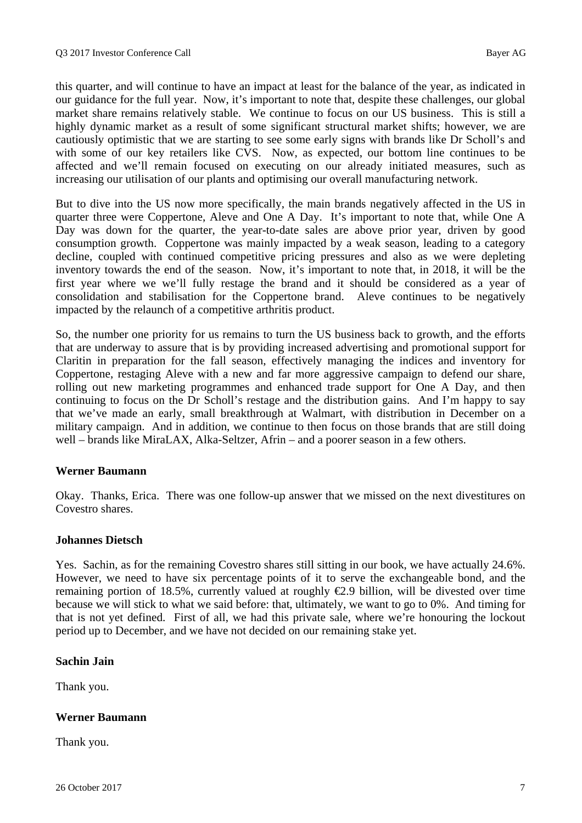this quarter, and will continue to have an impact at least for the balance of the year, as indicated in our guidance for the full year. Now, it's important to note that, despite these challenges, our global market share remains relatively stable. We continue to focus on our US business. This is still a highly dynamic market as a result of some significant structural market shifts; however, we are cautiously optimistic that we are starting to see some early signs with brands like Dr Scholl's and with some of our key retailers like CVS. Now, as expected, our bottom line continues to be affected and we'll remain focused on executing on our already initiated measures, such as increasing our utilisation of our plants and optimising our overall manufacturing network.

But to dive into the US now more specifically, the main brands negatively affected in the US in quarter three were Coppertone, Aleve and One A Day. It's important to note that, while One A Day was down for the quarter, the year-to-date sales are above prior year, driven by good consumption growth. Coppertone was mainly impacted by a weak season, leading to a category decline, coupled with continued competitive pricing pressures and also as we were depleting inventory towards the end of the season. Now, it's important to note that, in 2018, it will be the first year where we we'll fully restage the brand and it should be considered as a year of consolidation and stabilisation for the Coppertone brand. Aleve continues to be negatively impacted by the relaunch of a competitive arthritis product.

So, the number one priority for us remains to turn the US business back to growth, and the efforts that are underway to assure that is by providing increased advertising and promotional support for Claritin in preparation for the fall season, effectively managing the indices and inventory for Coppertone, restaging Aleve with a new and far more aggressive campaign to defend our share, rolling out new marketing programmes and enhanced trade support for One A Day, and then continuing to focus on the Dr Scholl's restage and the distribution gains. And I'm happy to say that we've made an early, small breakthrough at Walmart, with distribution in December on a military campaign. And in addition, we continue to then focus on those brands that are still doing well – brands like MiraLAX, Alka-Seltzer, Afrin – and a poorer season in a few others.

## **Werner Baumann**

Okay. Thanks, Erica. There was one follow-up answer that we missed on the next divestitures on Covestro shares.

#### **Johannes Dietsch**

Yes. Sachin, as for the remaining Covestro shares still sitting in our book, we have actually 24.6%. However, we need to have six percentage points of it to serve the exchangeable bond, and the remaining portion of 18.5%, currently valued at roughly  $\epsilon$ 2.9 billion, will be divested over time because we will stick to what we said before: that, ultimately, we want to go to 0%. And timing for that is not yet defined. First of all, we had this private sale, where we're honouring the lockout period up to December, and we have not decided on our remaining stake yet.

## **Sachin Jain**

Thank you.

## **Werner Baumann**

Thank you.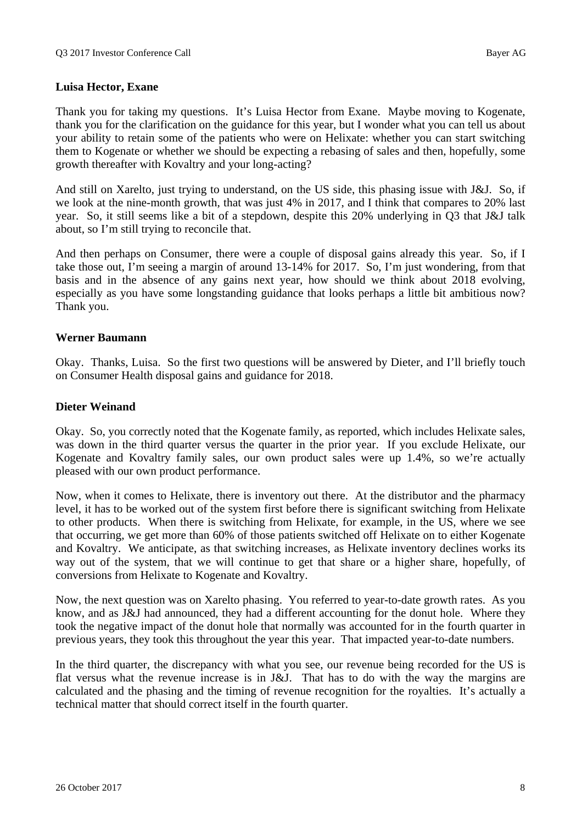### **Luisa Hector, Exane**

Thank you for taking my questions. It's Luisa Hector from Exane. Maybe moving to Kogenate, thank you for the clarification on the guidance for this year, but I wonder what you can tell us about your ability to retain some of the patients who were on Helixate: whether you can start switching them to Kogenate or whether we should be expecting a rebasing of sales and then, hopefully, some growth thereafter with Kovaltry and your long-acting?

And still on Xarelto, just trying to understand, on the US side, this phasing issue with J&J. So, if we look at the nine-month growth, that was just 4% in 2017, and I think that compares to 20% last year. So, it still seems like a bit of a stepdown, despite this 20% underlying in Q3 that J&J talk about, so I'm still trying to reconcile that.

And then perhaps on Consumer, there were a couple of disposal gains already this year. So, if I take those out, I'm seeing a margin of around 13-14% for 2017. So, I'm just wondering, from that basis and in the absence of any gains next year, how should we think about 2018 evolving, especially as you have some longstanding guidance that looks perhaps a little bit ambitious now? Thank you.

#### **Werner Baumann**

Okay. Thanks, Luisa. So the first two questions will be answered by Dieter, and I'll briefly touch on Consumer Health disposal gains and guidance for 2018.

#### **Dieter Weinand**

Okay. So, you correctly noted that the Kogenate family, as reported, which includes Helixate sales, was down in the third quarter versus the quarter in the prior year. If you exclude Helixate, our Kogenate and Kovaltry family sales, our own product sales were up 1.4%, so we're actually pleased with our own product performance.

Now, when it comes to Helixate, there is inventory out there. At the distributor and the pharmacy level, it has to be worked out of the system first before there is significant switching from Helixate to other products. When there is switching from Helixate, for example, in the US, where we see that occurring, we get more than 60% of those patients switched off Helixate on to either Kogenate and Kovaltry. We anticipate, as that switching increases, as Helixate inventory declines works its way out of the system, that we will continue to get that share or a higher share, hopefully, of conversions from Helixate to Kogenate and Kovaltry.

Now, the next question was on Xarelto phasing. You referred to year-to-date growth rates. As you know, and as J&J had announced, they had a different accounting for the donut hole. Where they took the negative impact of the donut hole that normally was accounted for in the fourth quarter in previous years, they took this throughout the year this year. That impacted year-to-date numbers.

In the third quarter, the discrepancy with what you see, our revenue being recorded for the US is flat versus what the revenue increase is in J&J. That has to do with the way the margins are calculated and the phasing and the timing of revenue recognition for the royalties. It's actually a technical matter that should correct itself in the fourth quarter.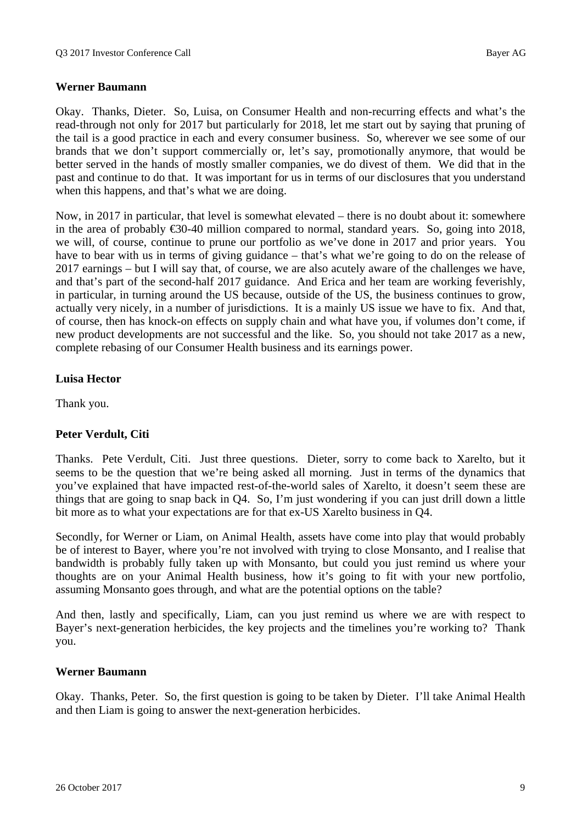## **Werner Baumann**

Okay. Thanks, Dieter. So, Luisa, on Consumer Health and non-recurring effects and what's the read-through not only for 2017 but particularly for 2018, let me start out by saying that pruning of the tail is a good practice in each and every consumer business. So, wherever we see some of our brands that we don't support commercially or, let's say, promotionally anymore, that would be better served in the hands of mostly smaller companies, we do divest of them. We did that in the past and continue to do that. It was important for us in terms of our disclosures that you understand when this happens, and that's what we are doing.

Now, in 2017 in particular, that level is somewhat elevated – there is no doubt about it: somewhere in the area of probably €30-40 million compared to normal, standard years. So, going into 2018, we will, of course, continue to prune our portfolio as we've done in 2017 and prior years. You have to bear with us in terms of giving guidance – that's what we're going to do on the release of 2017 earnings – but I will say that, of course, we are also acutely aware of the challenges we have, and that's part of the second-half 2017 guidance. And Erica and her team are working feverishly, in particular, in turning around the US because, outside of the US, the business continues to grow, actually very nicely, in a number of jurisdictions. It is a mainly US issue we have to fix. And that, of course, then has knock-on effects on supply chain and what have you, if volumes don't come, if new product developments are not successful and the like. So, you should not take 2017 as a new, complete rebasing of our Consumer Health business and its earnings power.

#### **Luisa Hector**

Thank you.

## **Peter Verdult, Citi**

Thanks. Pete Verdult, Citi. Just three questions. Dieter, sorry to come back to Xarelto, but it seems to be the question that we're being asked all morning. Just in terms of the dynamics that you've explained that have impacted rest-of-the-world sales of Xarelto, it doesn't seem these are things that are going to snap back in Q4. So, I'm just wondering if you can just drill down a little bit more as to what your expectations are for that ex-US Xarelto business in Q4.

Secondly, for Werner or Liam, on Animal Health, assets have come into play that would probably be of interest to Bayer, where you're not involved with trying to close Monsanto, and I realise that bandwidth is probably fully taken up with Monsanto, but could you just remind us where your thoughts are on your Animal Health business, how it's going to fit with your new portfolio, assuming Monsanto goes through, and what are the potential options on the table?

And then, lastly and specifically, Liam, can you just remind us where we are with respect to Bayer's next-generation herbicides, the key projects and the timelines you're working to? Thank you.

#### **Werner Baumann**

Okay. Thanks, Peter. So, the first question is going to be taken by Dieter. I'll take Animal Health and then Liam is going to answer the next-generation herbicides.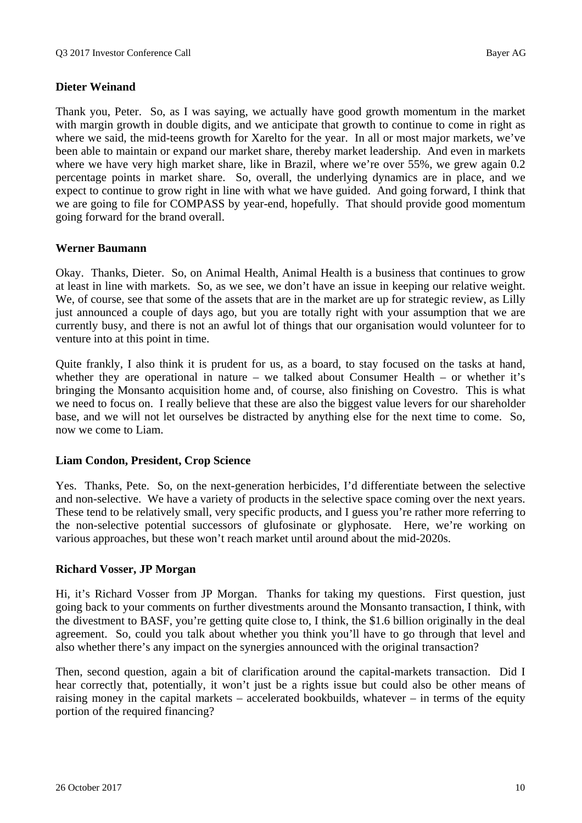## **Dieter Weinand**

Thank you, Peter. So, as I was saying, we actually have good growth momentum in the market with margin growth in double digits, and we anticipate that growth to continue to come in right as where we said, the mid-teens growth for Xarelto for the year. In all or most major markets, we've been able to maintain or expand our market share, thereby market leadership. And even in markets where we have very high market share, like in Brazil, where we're over 55%, we grew again 0.2 percentage points in market share. So, overall, the underlying dynamics are in place, and we expect to continue to grow right in line with what we have guided. And going forward, I think that we are going to file for COMPASS by year-end, hopefully. That should provide good momentum going forward for the brand overall.

#### **Werner Baumann**

Okay. Thanks, Dieter. So, on Animal Health, Animal Health is a business that continues to grow at least in line with markets. So, as we see, we don't have an issue in keeping our relative weight. We, of course, see that some of the assets that are in the market are up for strategic review, as Lilly just announced a couple of days ago, but you are totally right with your assumption that we are currently busy, and there is not an awful lot of things that our organisation would volunteer for to venture into at this point in time.

Quite frankly, I also think it is prudent for us, as a board, to stay focused on the tasks at hand, whether they are operational in nature – we talked about Consumer Health – or whether it's bringing the Monsanto acquisition home and, of course, also finishing on Covestro. This is what we need to focus on. I really believe that these are also the biggest value levers for our shareholder base, and we will not let ourselves be distracted by anything else for the next time to come. So, now we come to Liam.

## **Liam Condon, President, Crop Science**

Yes. Thanks, Pete. So, on the next-generation herbicides, I'd differentiate between the selective and non-selective. We have a variety of products in the selective space coming over the next years. These tend to be relatively small, very specific products, and I guess you're rather more referring to the non-selective potential successors of glufosinate or glyphosate. Here, we're working on various approaches, but these won't reach market until around about the mid-2020s.

#### **Richard Vosser, JP Morgan**

Hi, it's Richard Vosser from JP Morgan. Thanks for taking my questions. First question, just going back to your comments on further divestments around the Monsanto transaction, I think, with the divestment to BASF, you're getting quite close to, I think, the \$1.6 billion originally in the deal agreement. So, could you talk about whether you think you'll have to go through that level and also whether there's any impact on the synergies announced with the original transaction?

Then, second question, again a bit of clarification around the capital-markets transaction. Did I hear correctly that, potentially, it won't just be a rights issue but could also be other means of raising money in the capital markets – accelerated bookbuilds, whatever – in terms of the equity portion of the required financing?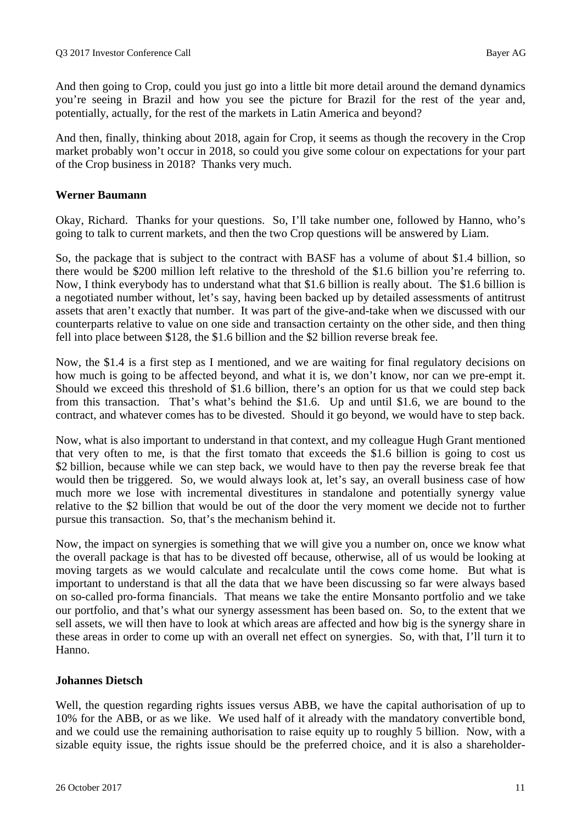And then going to Crop, could you just go into a little bit more detail around the demand dynamics you're seeing in Brazil and how you see the picture for Brazil for the rest of the year and, potentially, actually, for the rest of the markets in Latin America and beyond?

And then, finally, thinking about 2018, again for Crop, it seems as though the recovery in the Crop market probably won't occur in 2018, so could you give some colour on expectations for your part of the Crop business in 2018? Thanks very much.

## **Werner Baumann**

Okay, Richard. Thanks for your questions. So, I'll take number one, followed by Hanno, who's going to talk to current markets, and then the two Crop questions will be answered by Liam.

So, the package that is subject to the contract with BASF has a volume of about \$1.4 billion, so there would be \$200 million left relative to the threshold of the \$1.6 billion you're referring to. Now, I think everybody has to understand what that \$1.6 billion is really about. The \$1.6 billion is a negotiated number without, let's say, having been backed up by detailed assessments of antitrust assets that aren't exactly that number. It was part of the give-and-take when we discussed with our counterparts relative to value on one side and transaction certainty on the other side, and then thing fell into place between \$128, the \$1.6 billion and the \$2 billion reverse break fee.

Now, the \$1.4 is a first step as I mentioned, and we are waiting for final regulatory decisions on how much is going to be affected beyond, and what it is, we don't know, nor can we pre-empt it. Should we exceed this threshold of \$1.6 billion, there's an option for us that we could step back from this transaction. That's what's behind the \$1.6. Up and until \$1.6, we are bound to the contract, and whatever comes has to be divested. Should it go beyond, we would have to step back.

Now, what is also important to understand in that context, and my colleague Hugh Grant mentioned that very often to me, is that the first tomato that exceeds the \$1.6 billion is going to cost us \$2 billion, because while we can step back, we would have to then pay the reverse break fee that would then be triggered. So, we would always look at, let's say, an overall business case of how much more we lose with incremental divestitures in standalone and potentially synergy value relative to the \$2 billion that would be out of the door the very moment we decide not to further pursue this transaction. So, that's the mechanism behind it.

Now, the impact on synergies is something that we will give you a number on, once we know what the overall package is that has to be divested off because, otherwise, all of us would be looking at moving targets as we would calculate and recalculate until the cows come home. But what is important to understand is that all the data that we have been discussing so far were always based on so-called pro-forma financials. That means we take the entire Monsanto portfolio and we take our portfolio, and that's what our synergy assessment has been based on. So, to the extent that we sell assets, we will then have to look at which areas are affected and how big is the synergy share in these areas in order to come up with an overall net effect on synergies. So, with that, I'll turn it to Hanno.

## **Johannes Dietsch**

Well, the question regarding rights issues versus ABB, we have the capital authorisation of up to 10% for the ABB, or as we like. We used half of it already with the mandatory convertible bond, and we could use the remaining authorisation to raise equity up to roughly 5 billion. Now, with a sizable equity issue, the rights issue should be the preferred choice, and it is also a shareholder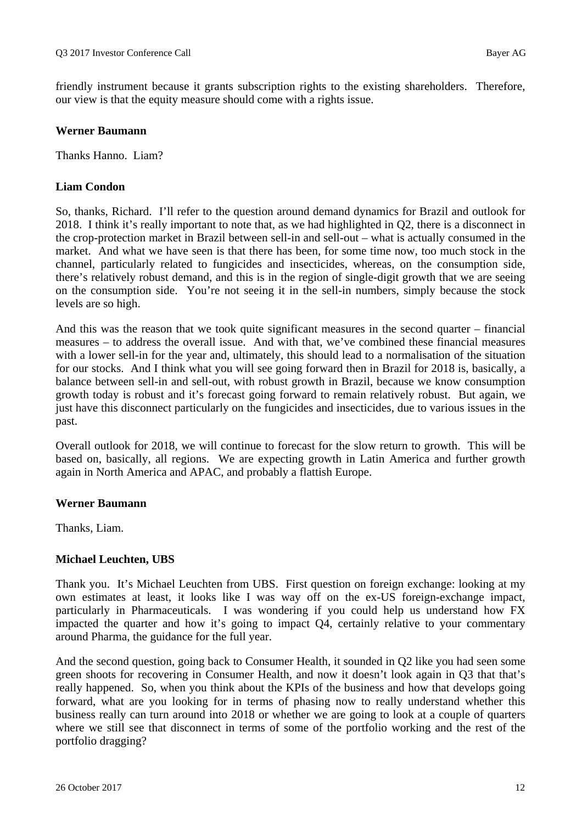friendly instrument because it grants subscription rights to the existing shareholders. Therefore, our view is that the equity measure should come with a rights issue.

## **Werner Baumann**

Thanks Hanno. Liam?

## **Liam Condon**

So, thanks, Richard. I'll refer to the question around demand dynamics for Brazil and outlook for 2018. I think it's really important to note that, as we had highlighted in Q2, there is a disconnect in the crop-protection market in Brazil between sell-in and sell-out – what is actually consumed in the market. And what we have seen is that there has been, for some time now, too much stock in the channel, particularly related to fungicides and insecticides, whereas, on the consumption side, there's relatively robust demand, and this is in the region of single-digit growth that we are seeing on the consumption side. You're not seeing it in the sell-in numbers, simply because the stock levels are so high.

And this was the reason that we took quite significant measures in the second quarter – financial measures – to address the overall issue. And with that, we've combined these financial measures with a lower sell-in for the year and, ultimately, this should lead to a normalisation of the situation for our stocks. And I think what you will see going forward then in Brazil for 2018 is, basically, a balance between sell-in and sell-out, with robust growth in Brazil, because we know consumption growth today is robust and it's forecast going forward to remain relatively robust. But again, we just have this disconnect particularly on the fungicides and insecticides, due to various issues in the past.

Overall outlook for 2018, we will continue to forecast for the slow return to growth. This will be based on, basically, all regions. We are expecting growth in Latin America and further growth again in North America and APAC, and probably a flattish Europe.

#### **Werner Baumann**

Thanks, Liam.

## **Michael Leuchten, UBS**

Thank you. It's Michael Leuchten from UBS. First question on foreign exchange: looking at my own estimates at least, it looks like I was way off on the ex-US foreign-exchange impact, particularly in Pharmaceuticals. I was wondering if you could help us understand how FX impacted the quarter and how it's going to impact Q4, certainly relative to your commentary around Pharma, the guidance for the full year.

And the second question, going back to Consumer Health, it sounded in Q2 like you had seen some green shoots for recovering in Consumer Health, and now it doesn't look again in Q3 that that's really happened. So, when you think about the KPIs of the business and how that develops going forward, what are you looking for in terms of phasing now to really understand whether this business really can turn around into 2018 or whether we are going to look at a couple of quarters where we still see that disconnect in terms of some of the portfolio working and the rest of the portfolio dragging?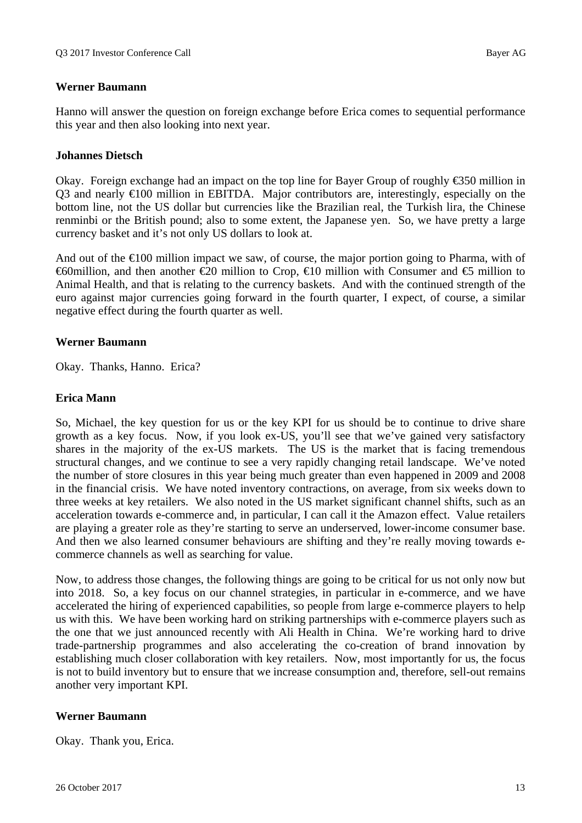## **Werner Baumann**

Hanno will answer the question on foreign exchange before Erica comes to sequential performance this year and then also looking into next year.

#### **Johannes Dietsch**

Okay. Foreign exchange had an impact on the top line for Bayer Group of roughly  $\epsilon$ 350 million in Q3 and nearly  $\epsilon 100$  million in EBITDA. Major contributors are, interestingly, especially on the bottom line, not the US dollar but currencies like the Brazilian real, the Turkish lira, the Chinese renminbi or the British pound; also to some extent, the Japanese yen. So, we have pretty a large currency basket and it's not only US dollars to look at.

And out of the  $\epsilon 100$  million impact we saw, of course, the major portion going to Pharma, with of  $\Theta$ million, and then another  $\Theta$  million to Crop,  $\Theta$  million with Consumer and  $\Theta$  million to Animal Health, and that is relating to the currency baskets. And with the continued strength of the euro against major currencies going forward in the fourth quarter, I expect, of course, a similar negative effect during the fourth quarter as well.

#### **Werner Baumann**

Okay. Thanks, Hanno. Erica?

## **Erica Mann**

So, Michael, the key question for us or the key KPI for us should be to continue to drive share growth as a key focus. Now, if you look ex-US, you'll see that we've gained very satisfactory shares in the majority of the ex-US markets. The US is the market that is facing tremendous structural changes, and we continue to see a very rapidly changing retail landscape. We've noted the number of store closures in this year being much greater than even happened in 2009 and 2008 in the financial crisis. We have noted inventory contractions, on average, from six weeks down to three weeks at key retailers. We also noted in the US market significant channel shifts, such as an acceleration towards e-commerce and, in particular, I can call it the Amazon effect. Value retailers are playing a greater role as they're starting to serve an underserved, lower-income consumer base. And then we also learned consumer behaviours are shifting and they're really moving towards ecommerce channels as well as searching for value.

Now, to address those changes, the following things are going to be critical for us not only now but into 2018. So, a key focus on our channel strategies, in particular in e-commerce, and we have accelerated the hiring of experienced capabilities, so people from large e-commerce players to help us with this. We have been working hard on striking partnerships with e-commerce players such as the one that we just announced recently with Ali Health in China. We're working hard to drive trade-partnership programmes and also accelerating the co-creation of brand innovation by establishing much closer collaboration with key retailers. Now, most importantly for us, the focus is not to build inventory but to ensure that we increase consumption and, therefore, sell-out remains another very important KPI.

## **Werner Baumann**

Okay. Thank you, Erica.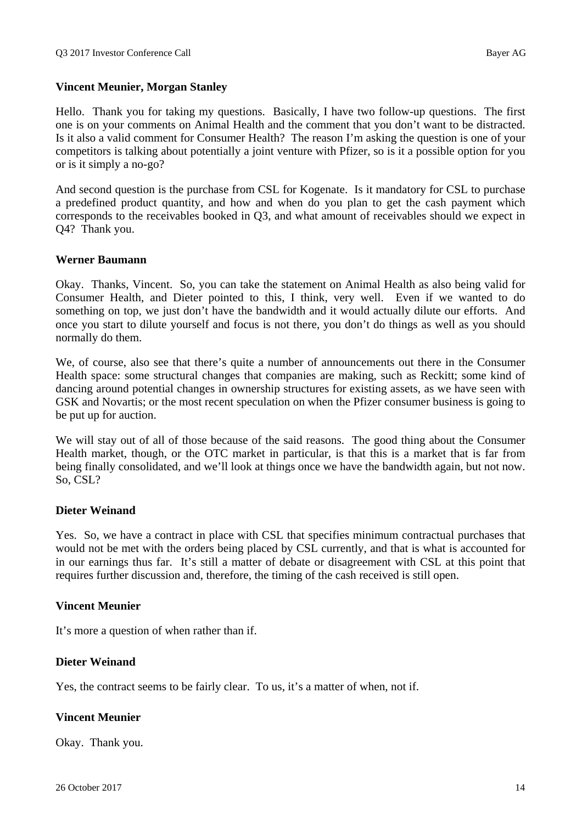## **Vincent Meunier, Morgan Stanley**

Hello. Thank you for taking my questions. Basically, I have two follow-up questions. The first one is on your comments on Animal Health and the comment that you don't want to be distracted. Is it also a valid comment for Consumer Health? The reason I'm asking the question is one of your competitors is talking about potentially a joint venture with Pfizer, so is it a possible option for you or is it simply a no-go?

And second question is the purchase from CSL for Kogenate. Is it mandatory for CSL to purchase a predefined product quantity, and how and when do you plan to get the cash payment which corresponds to the receivables booked in Q3, and what amount of receivables should we expect in Q4? Thank you.

#### **Werner Baumann**

Okay. Thanks, Vincent. So, you can take the statement on Animal Health as also being valid for Consumer Health, and Dieter pointed to this, I think, very well. Even if we wanted to do something on top, we just don't have the bandwidth and it would actually dilute our efforts. And once you start to dilute yourself and focus is not there, you don't do things as well as you should normally do them.

We, of course, also see that there's quite a number of announcements out there in the Consumer Health space: some structural changes that companies are making, such as Reckitt; some kind of dancing around potential changes in ownership structures for existing assets, as we have seen with GSK and Novartis; or the most recent speculation on when the Pfizer consumer business is going to be put up for auction.

We will stay out of all of those because of the said reasons. The good thing about the Consumer Health market, though, or the OTC market in particular, is that this is a market that is far from being finally consolidated, and we'll look at things once we have the bandwidth again, but not now. So, CSL?

#### **Dieter Weinand**

Yes. So, we have a contract in place with CSL that specifies minimum contractual purchases that would not be met with the orders being placed by CSL currently, and that is what is accounted for in our earnings thus far. It's still a matter of debate or disagreement with CSL at this point that requires further discussion and, therefore, the timing of the cash received is still open.

## **Vincent Meunier**

It's more a question of when rather than if.

## **Dieter Weinand**

Yes, the contract seems to be fairly clear. To us, it's a matter of when, not if.

## **Vincent Meunier**

Okay. Thank you.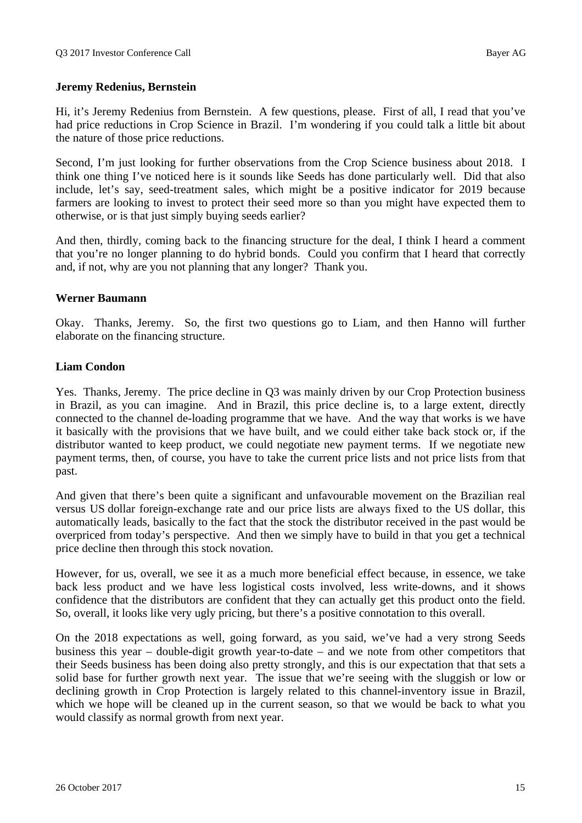## **Jeremy Redenius, Bernstein**

Hi, it's Jeremy Redenius from Bernstein. A few questions, please. First of all, I read that you've had price reductions in Crop Science in Brazil. I'm wondering if you could talk a little bit about the nature of those price reductions.

Second, I'm just looking for further observations from the Crop Science business about 2018. I think one thing I've noticed here is it sounds like Seeds has done particularly well. Did that also include, let's say, seed-treatment sales, which might be a positive indicator for 2019 because farmers are looking to invest to protect their seed more so than you might have expected them to otherwise, or is that just simply buying seeds earlier?

And then, thirdly, coming back to the financing structure for the deal, I think I heard a comment that you're no longer planning to do hybrid bonds. Could you confirm that I heard that correctly and, if not, why are you not planning that any longer? Thank you.

## **Werner Baumann**

Okay. Thanks, Jeremy. So, the first two questions go to Liam, and then Hanno will further elaborate on the financing structure.

## **Liam Condon**

Yes. Thanks, Jeremy. The price decline in Q3 was mainly driven by our Crop Protection business in Brazil, as you can imagine. And in Brazil, this price decline is, to a large extent, directly connected to the channel de-loading programme that we have. And the way that works is we have it basically with the provisions that we have built, and we could either take back stock or, if the distributor wanted to keep product, we could negotiate new payment terms. If we negotiate new payment terms, then, of course, you have to take the current price lists and not price lists from that past.

And given that there's been quite a significant and unfavourable movement on the Brazilian real versus US dollar foreign-exchange rate and our price lists are always fixed to the US dollar, this automatically leads, basically to the fact that the stock the distributor received in the past would be overpriced from today's perspective. And then we simply have to build in that you get a technical price decline then through this stock novation.

However, for us, overall, we see it as a much more beneficial effect because, in essence, we take back less product and we have less logistical costs involved, less write-downs, and it shows confidence that the distributors are confident that they can actually get this product onto the field. So, overall, it looks like very ugly pricing, but there's a positive connotation to this overall.

On the 2018 expectations as well, going forward, as you said, we've had a very strong Seeds business this year – double-digit growth year-to-date – and we note from other competitors that their Seeds business has been doing also pretty strongly, and this is our expectation that that sets a solid base for further growth next year. The issue that we're seeing with the sluggish or low or declining growth in Crop Protection is largely related to this channel-inventory issue in Brazil, which we hope will be cleaned up in the current season, so that we would be back to what you would classify as normal growth from next year.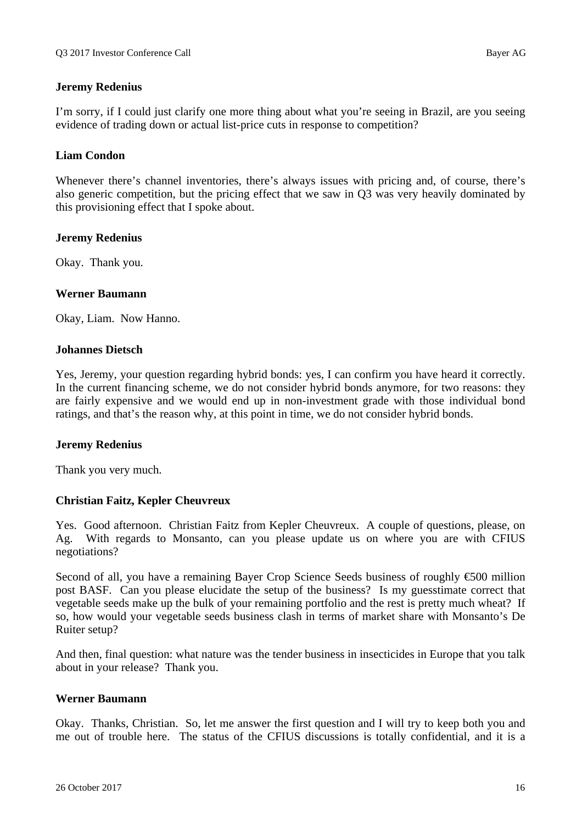## **Jeremy Redenius**

I'm sorry, if I could just clarify one more thing about what you're seeing in Brazil, are you seeing evidence of trading down or actual list-price cuts in response to competition?

#### **Liam Condon**

Whenever there's channel inventories, there's always issues with pricing and, of course, there's also generic competition, but the pricing effect that we saw in Q3 was very heavily dominated by this provisioning effect that I spoke about.

#### **Jeremy Redenius**

Okay. Thank you.

#### **Werner Baumann**

Okay, Liam. Now Hanno.

#### **Johannes Dietsch**

Yes, Jeremy, your question regarding hybrid bonds: yes, I can confirm you have heard it correctly. In the current financing scheme, we do not consider hybrid bonds anymore, for two reasons: they are fairly expensive and we would end up in non-investment grade with those individual bond ratings, and that's the reason why, at this point in time, we do not consider hybrid bonds.

#### **Jeremy Redenius**

Thank you very much.

#### **Christian Faitz, Kepler Cheuvreux**

Yes. Good afternoon. Christian Faitz from Kepler Cheuvreux. A couple of questions, please, on Ag. With regards to Monsanto, can you please update us on where you are with CFIUS negotiations?

Second of all, you have a remaining Bayer Crop Science Seeds business of roughly €500 million post BASF. Can you please elucidate the setup of the business? Is my guesstimate correct that vegetable seeds make up the bulk of your remaining portfolio and the rest is pretty much wheat? If so, how would your vegetable seeds business clash in terms of market share with Monsanto's De Ruiter setup?

And then, final question: what nature was the tender business in insecticides in Europe that you talk about in your release? Thank you.

#### **Werner Baumann**

Okay. Thanks, Christian. So, let me answer the first question and I will try to keep both you and me out of trouble here. The status of the CFIUS discussions is totally confidential, and it is a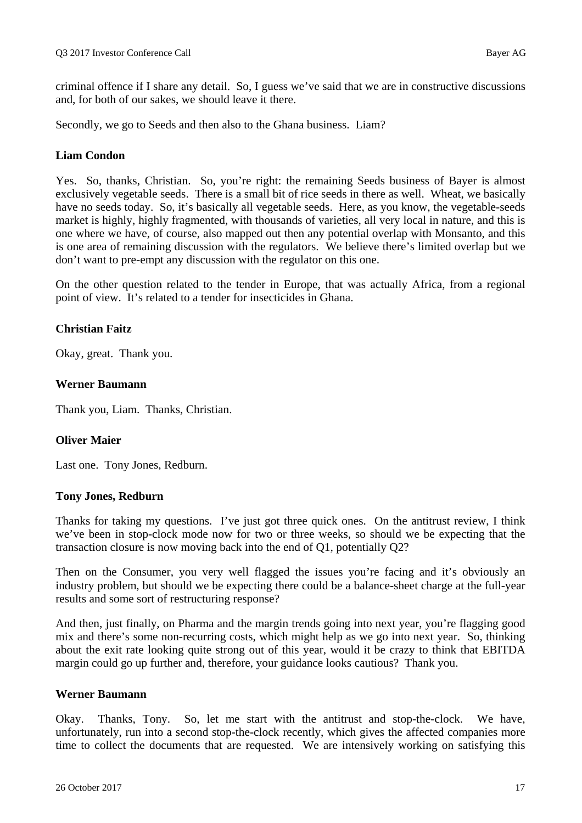criminal offence if I share any detail. So, I guess we've said that we are in constructive discussions and, for both of our sakes, we should leave it there.

Secondly, we go to Seeds and then also to the Ghana business. Liam?

## **Liam Condon**

Yes. So, thanks, Christian. So, you're right: the remaining Seeds business of Bayer is almost exclusively vegetable seeds. There is a small bit of rice seeds in there as well. Wheat, we basically have no seeds today. So, it's basically all vegetable seeds. Here, as you know, the vegetable-seeds market is highly, highly fragmented, with thousands of varieties, all very local in nature, and this is one where we have, of course, also mapped out then any potential overlap with Monsanto, and this is one area of remaining discussion with the regulators. We believe there's limited overlap but we don't want to pre-empt any discussion with the regulator on this one.

On the other question related to the tender in Europe, that was actually Africa, from a regional point of view. It's related to a tender for insecticides in Ghana.

## **Christian Faitz**

Okay, great. Thank you.

## **Werner Baumann**

Thank you, Liam. Thanks, Christian.

## **Oliver Maier**

Last one. Tony Jones, Redburn.

#### **Tony Jones, Redburn**

Thanks for taking my questions. I've just got three quick ones. On the antitrust review, I think we've been in stop-clock mode now for two or three weeks, so should we be expecting that the transaction closure is now moving back into the end of Q1, potentially Q2?

Then on the Consumer, you very well flagged the issues you're facing and it's obviously an industry problem, but should we be expecting there could be a balance-sheet charge at the full-year results and some sort of restructuring response?

And then, just finally, on Pharma and the margin trends going into next year, you're flagging good mix and there's some non-recurring costs, which might help as we go into next year. So, thinking about the exit rate looking quite strong out of this year, would it be crazy to think that EBITDA margin could go up further and, therefore, your guidance looks cautious? Thank you.

#### **Werner Baumann**

Okay. Thanks, Tony. So, let me start with the antitrust and stop-the-clock. We have, unfortunately, run into a second stop-the-clock recently, which gives the affected companies more time to collect the documents that are requested. We are intensively working on satisfying this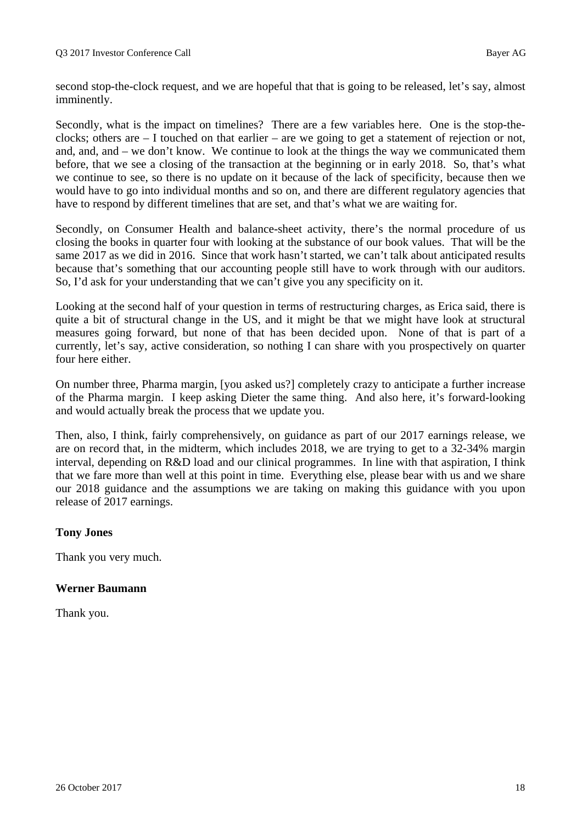second stop-the-clock request, and we are hopeful that that is going to be released, let's say, almost imminently.

Secondly, what is the impact on timelines? There are a few variables here. One is the stop-theclocks; others are – I touched on that earlier – are we going to get a statement of rejection or not, and, and, and – we don't know. We continue to look at the things the way we communicated them before, that we see a closing of the transaction at the beginning or in early 2018. So, that's what we continue to see, so there is no update on it because of the lack of specificity, because then we would have to go into individual months and so on, and there are different regulatory agencies that have to respond by different timelines that are set, and that's what we are waiting for.

Secondly, on Consumer Health and balance-sheet activity, there's the normal procedure of us closing the books in quarter four with looking at the substance of our book values. That will be the same 2017 as we did in 2016. Since that work hasn't started, we can't talk about anticipated results because that's something that our accounting people still have to work through with our auditors. So, I'd ask for your understanding that we can't give you any specificity on it.

Looking at the second half of your question in terms of restructuring charges, as Erica said, there is quite a bit of structural change in the US, and it might be that we might have look at structural measures going forward, but none of that has been decided upon. None of that is part of a currently, let's say, active consideration, so nothing I can share with you prospectively on quarter four here either.

On number three, Pharma margin, [you asked us?] completely crazy to anticipate a further increase of the Pharma margin. I keep asking Dieter the same thing. And also here, it's forward-looking and would actually break the process that we update you.

Then, also, I think, fairly comprehensively, on guidance as part of our 2017 earnings release, we are on record that, in the midterm, which includes 2018, we are trying to get to a 32-34% margin interval, depending on R&D load and our clinical programmes. In line with that aspiration, I think that we fare more than well at this point in time. Everything else, please bear with us and we share our 2018 guidance and the assumptions we are taking on making this guidance with you upon release of 2017 earnings.

## **Tony Jones**

Thank you very much.

## **Werner Baumann**

Thank you.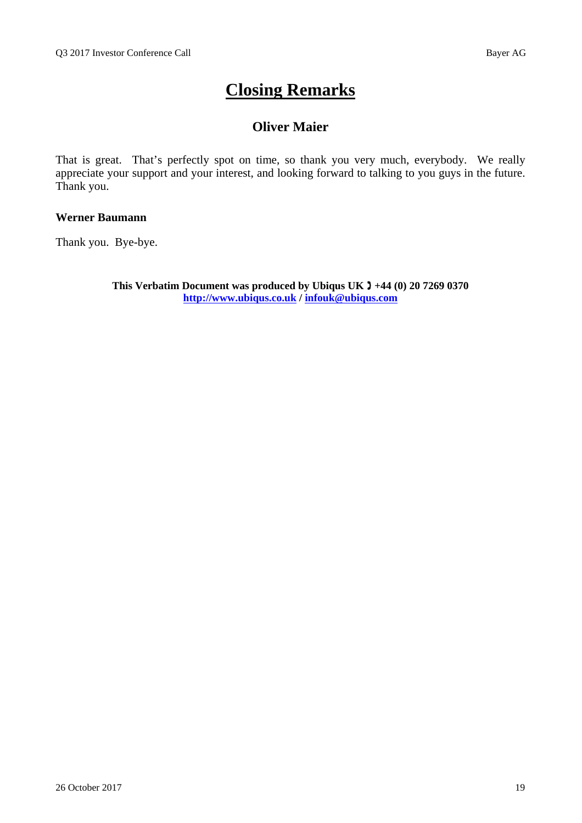# **Closing Remarks**

## **Oliver Maier**

That is great. That's perfectly spot on time, so thank you very much, everybody. We really appreciate your support and your interest, and looking forward to talking to you guys in the future. Thank you.

## **Werner Baumann**

Thank you. Bye-bye.

**This Verbatim Document was produced by Ubiqus UK +44 (0) 20 7269 0370 http://www.ubiqus.co.uk / infouk@ubiqus.com**